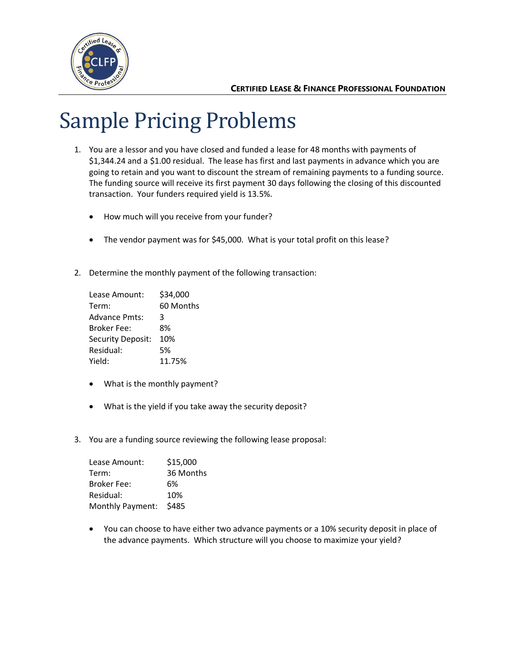

# Sample Pricing Problems

- 1. You are a lessor and you have closed and funded a lease for 48 months with payments of \$1,344.24 and a \$1.00 residual. The lease has first and last payments in advance which you are going to retain and you want to discount the stream of remaining payments to a funding source. The funding source will receive its first payment 30 days following the closing of this discounted transaction. Your funders required yield is 13.5%.
	- How much will you receive from your funder?
	- The vendor payment was for \$45,000. What is your total profit on this lease?
- 2. Determine the monthly payment of the following transaction:

| Lease Amount:        | \$34,000  |
|----------------------|-----------|
| Term:                | 60 Months |
| <b>Advance Pmts:</b> | 3         |
| <b>Broker Fee:</b>   | 8%        |
| Security Deposit:    | 10%       |
| Residual:            | 5%        |
| Yield:               | 11.75%    |

- What is the monthly payment?
- What is the yield if you take away the security deposit?
- 3. You are a funding source reviewing the following lease proposal:

| Lease Amount:      | \$15,000  |
|--------------------|-----------|
| Term:              | 36 Months |
| <b>Broker Fee:</b> | 6%        |
| Residual:          | 10%       |
| Monthly Payment:   | \$485     |

• You can choose to have either two advance payments or a 10% security deposit in place of the advance payments. Which structure will you choose to maximize your yield?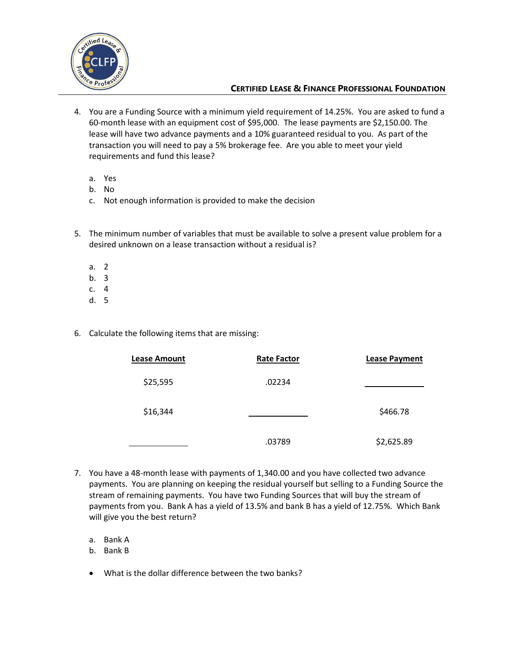

- 4. You are a Funding Source with a minimum yield requirement of 14.25%. You are asked to fund a 60-month lease with an equipment cost of \$95,000. The lease payments are \$2,150.00. The lease will have two advance payments and a 10% guaranteed residual to you. As part of the transaction you will need to pay a 5% brokerage fee. Are you able to meet your yield requirements and fund this lease?
	- a. Yes
	- b. No
	- c. Not enough information is provided to make the decision
- 5. The minimum number of variables that must be available to solve a present value problem for a desired unknown on a lease transaction without a residual is?
	- a. 2
	- b. 3
	- c. 4
	- d. 5
- 6. Calculate the following items that are missing:

| <b>Lease Amount</b> | <b>Rate Factor</b> | <b>Lease Payment</b> |
|---------------------|--------------------|----------------------|
| \$25,595            | .02234             |                      |
| \$16,344            |                    | \$466.78             |
|                     | .03789             | \$2,625.89           |

- 7. You have a 48-month lease with payments of 1,340.00 and you have collected two advance payments. You are planning on keeping the residual yourself but selling to a Funding Source the stream of remaining payments. You have two Funding Sources that will buy the stream of payments from you. Bank A has a yield of 13.5% and bank B has a yield of 12.75%. Which Bank will give you the best return?
	- a. Bank A
	- b. Bank B
	- What is the dollar difference between the two banks?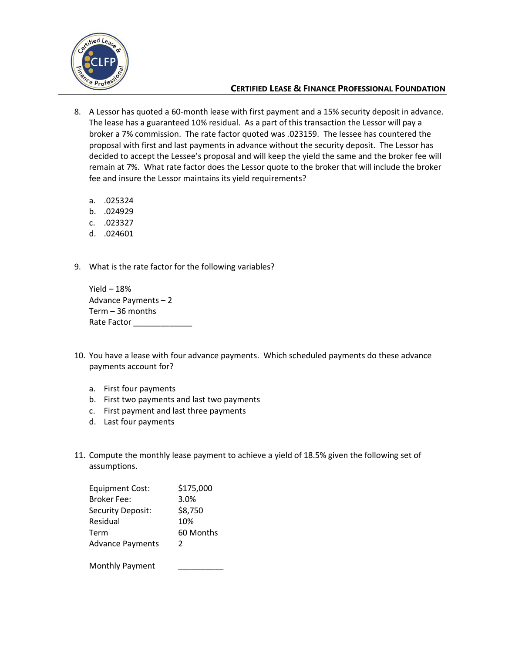

- 8. A Lessor has quoted a 60-month lease with first payment and a 15% security deposit in advance. The lease has a guaranteed 10% residual. As a part of this transaction the Lessor will pay a broker a 7% commission. The rate factor quoted was .023159. The lessee has countered the proposal with first and last payments in advance without the security deposit. The Lessor has decided to accept the Lessee's proposal and will keep the yield the same and the broker fee will remain at 7%. What rate factor does the Lessor quote to the broker that will include the broker fee and insure the Lessor maintains its yield requirements?
	- a. .025324
	- b. .024929
	- c. .023327
	- d. .024601
- 9. What is the rate factor for the following variables?

Yield  $-18%$ Advance Payments – 2 Term – 36 months Rate Factor \_\_\_\_\_\_\_\_

- 10. You have a lease with four advance payments. Which scheduled payments do these advance payments account for?
	- a. First four payments
	- b. First two payments and last two payments
	- c. First payment and last three payments
	- d. Last four payments
- 11. Compute the monthly lease payment to achieve a yield of 18.5% given the following set of assumptions.

| <b>Equipment Cost:</b>  | \$175,000 |
|-------------------------|-----------|
| <b>Broker Fee:</b>      | 3.0%      |
| Security Deposit:       | \$8,750   |
| Residual                | 10%       |
| Term                    | 60 Months |
| <b>Advance Payments</b> | 2         |
| Monthly Payment         |           |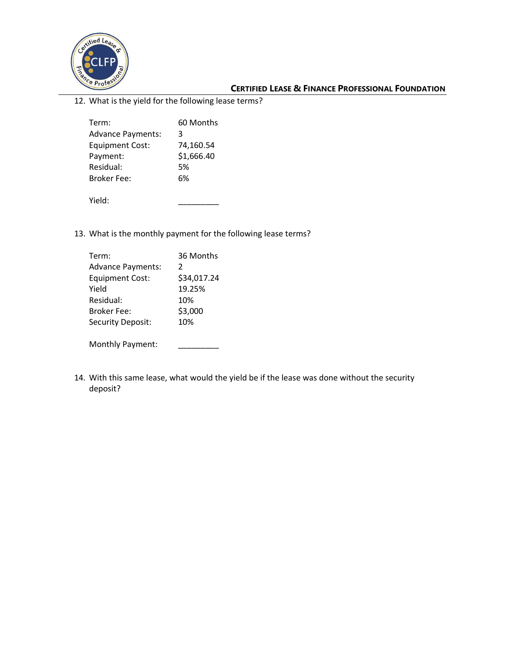

12. What is the yield for the following lease terms?

|                          | 60 Months  |
|--------------------------|------------|
| Term:                    |            |
| <b>Advance Payments:</b> | 3          |
| <b>Equipment Cost:</b>   | 74,160.54  |
| Payment:                 | \$1,666.40 |
| Residual:                | 5%         |
| Broker Fee:              | 6%         |
|                          |            |
| Yield:                   |            |

13. What is the monthly payment for the following lease terms?

| Term:                    | 36 Months     |
|--------------------------|---------------|
|                          |               |
| <b>Advance Payments:</b> | $\mathcal{P}$ |
| <b>Equipment Cost:</b>   | \$34,017.24   |
| Yield                    | 19.25%        |
| Residual:                | 10%           |
| <b>Broker Fee:</b>       | \$3,000       |
| Security Deposit:        | 10%           |
|                          |               |
| Monthly Payment:         |               |

14. With this same lease, what would the yield be if the lease was done without the security deposit?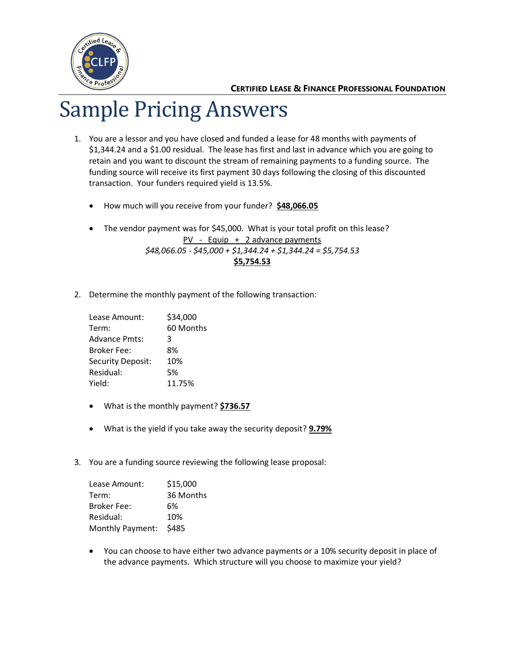

# Sample Pricing Answers

- 1. You are a lessor and you have closed and funded a lease for 48 months with payments of \$1,344.24 and a \$1.00 residual. The lease has first and last in advance which you are going to retain and you want to discount the stream of remaining payments to a funding source. The funding source will receive its first payment 30 days following the closing of this discounted transaction. Your funders required yield is 13.5%.
	- How much will you receive from your funder? **\$48,066.05**
	- The vendor payment was for \$45,000. What is your total profit on this lease? PV - Equip + 2 advance payments *\$48,066.05 - \$45,000 + \$1,344.24 + \$1,344.24 = \$5,754.53*

**\$5,754.53**

2. Determine the monthly payment of the following transaction:

| Lease Amount:        | \$34,000  |
|----------------------|-----------|
| Term:                | 60 Months |
| <b>Advance Pmts:</b> | 3         |
| <b>Broker Fee:</b>   | 8%        |
| Security Deposit:    | 10%       |
| Residual:            | 5%        |
| Yield:               | 11.75%    |

- What is the monthly payment? **\$736.57**
- What is the yield if you take away the security deposit? **9.79%**
- 3. You are a funding source reviewing the following lease proposal:

| Lease Amount:      | \$15,000  |
|--------------------|-----------|
| Term:              | 36 Months |
| <b>Broker Fee:</b> | 6%        |
| Residual:          | 10%       |
| Monthly Payment:   | \$485     |

• You can choose to have either two advance payments or a 10% security deposit in place of the advance payments. Which structure will you choose to maximize your yield?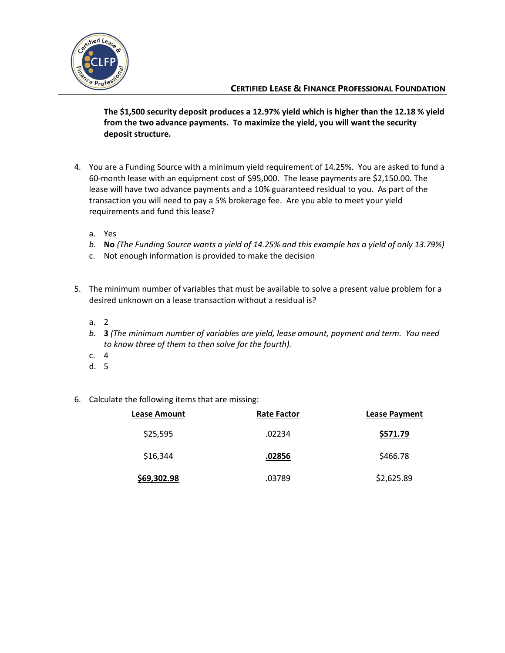

**The \$1,500 security deposit produces a 12.97% yield which is higher than the 12.18 % yield from the two advance payments. To maximize the yield, you will want the security deposit structure.**

- 4. You are a Funding Source with a minimum yield requirement of 14.25%. You are asked to fund a 60-month lease with an equipment cost of \$95,000. The lease payments are \$2,150.00. The lease will have two advance payments and a 10% guaranteed residual to you. As part of the transaction you will need to pay a 5% brokerage fee. Are you able to meet your yield requirements and fund this lease?
	- a. Yes
	- *b.* **No** *(The Funding Source wants a yield of 14.25% and this example has a yield of only 13.79%)*
	- c. Not enough information is provided to make the decision
- 5. The minimum number of variables that must be available to solve a present value problem for a desired unknown on a lease transaction without a residual is?
	- a. 2
	- *b.* **3** *(The minimum number of variables are yield, lease amount, payment and term. You need to know three of them to then solve for the fourth).*
	- c. 4
	- d. 5
- 6. Calculate the following items that are missing:

| <b>Lease Amount</b> | <b>Rate Factor</b> | <b>Lease Payment</b> |
|---------------------|--------------------|----------------------|
| \$25,595            | .02234             | \$571.79             |
| \$16,344            | .02856             | \$466.78             |
| \$69,302.98         | .03789             | \$2,625.89           |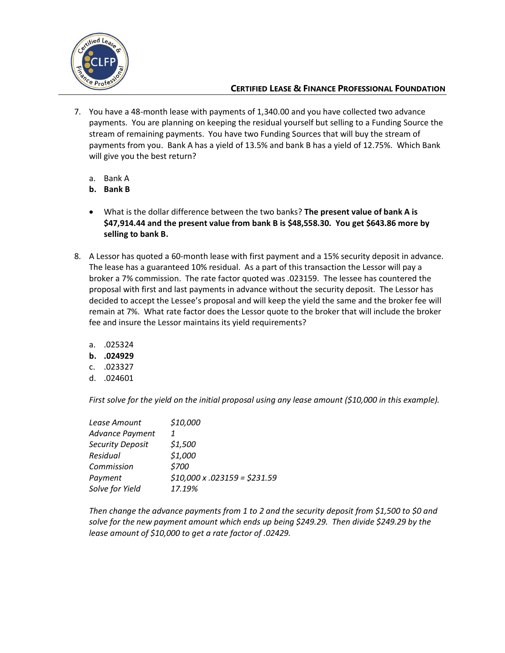

- 7. You have a 48-month lease with payments of 1,340.00 and you have collected two advance payments. You are planning on keeping the residual yourself but selling to a Funding Source the stream of remaining payments. You have two Funding Sources that will buy the stream of payments from you. Bank A has a yield of 13.5% and bank B has a yield of 12.75%. Which Bank will give you the best return?
	- a. Bank A
	- **b. Bank B**
	- What is the dollar difference between the two banks? **The present value of bank A is \$47,914.44 and the present value from bank B is \$48,558.30. You get \$643.86 more by selling to bank B.**
- 8. A Lessor has quoted a 60-month lease with first payment and a 15% security deposit in advance. The lease has a guaranteed 10% residual. As a part of this transaction the Lessor will pay a broker a 7% commission. The rate factor quoted was .023159. The lessee has countered the proposal with first and last payments in advance without the security deposit. The Lessor has decided to accept the Lessee's proposal and will keep the yield the same and the broker fee will remain at 7%. What rate factor does the Lessor quote to the broker that will include the broker fee and insure the Lessor maintains its yield requirements?
	- a. .025324
	- **b. .024929**
	- c. .023327
	- d. .024601

*First solve for the yield on the initial proposal using any lease amount (\$10,000 in this example).* 

| Lease Amount           | \$10,000                           |
|------------------------|------------------------------------|
| <b>Advance Payment</b> |                                    |
| Security Deposit       | \$1,500                            |
| Residual               | \$1,000                            |
| Commission             | \$700                              |
| Payment                | $$10,000 \times .023159 = $231.59$ |
| Solve for Yield        | 17.19%                             |

*Then change the advance payments from 1 to 2 and the security deposit from \$1,500 to \$0 and solve for the new payment amount which ends up being \$249.29. Then divide \$249.29 by the lease amount of \$10,000 to get a rate factor of .02429.*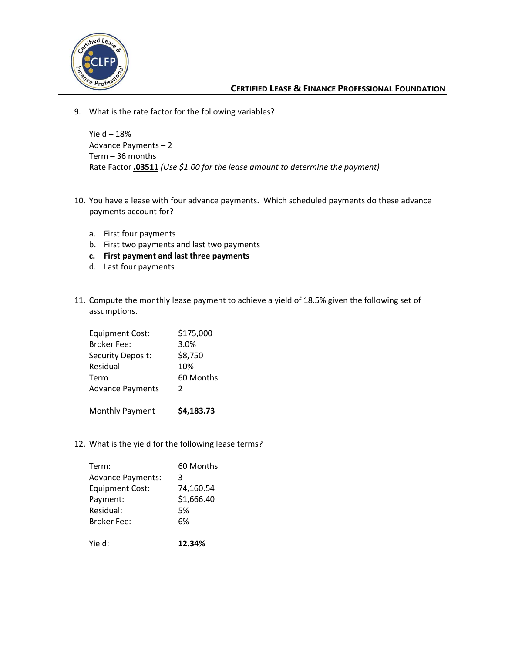

9. What is the rate factor for the following variables?

Yield  $-18%$ Advance Payments – 2 Term – 36 months Rate Factor **.03511** *(Use \$1.00 for the lease amount to determine the payment)*

- 10. You have a lease with four advance payments. Which scheduled payments do these advance payments account for?
	- a. First four payments
	- b. First two payments and last two payments
	- **c. First payment and last three payments**
	- d. Last four payments
- 11. Compute the monthly lease payment to achieve a yield of 18.5% given the following set of assumptions.

| <b>Equipment Cost:</b>  | \$175,000 |
|-------------------------|-----------|
| <b>Broker Fee:</b>      | 3.0%      |
| Security Deposit:       | \$8,750   |
| Residual                | 10%       |
| Term                    | 60 Months |
| <b>Advance Payments</b> | 2         |
|                         |           |
|                         |           |

Monthly Payment **\$4,183.73**

12. What is the yield for the following lease terms?

| Term:                    | 60 Months  |
|--------------------------|------------|
| <b>Advance Payments:</b> | 3          |
| <b>Equipment Cost:</b>   | 74,160.54  |
| Payment:                 | \$1,666.40 |
| Residual:                | 5%         |
| <b>Broker Fee:</b>       | 6%         |
|                          |            |
| Yield:                   | 12.34%     |